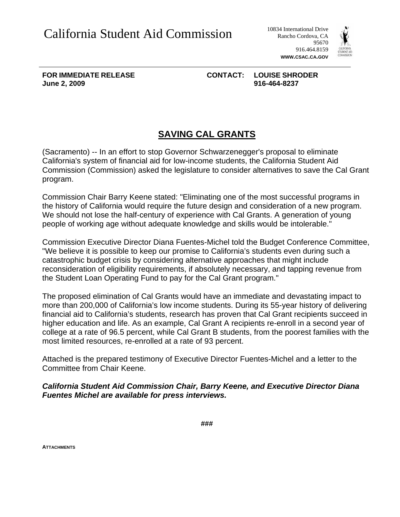Rancho Cordova, CA 95670 916.464.8159 **WWW.CSAC.CA.GOV**



**FOR IMMEDIATE RELEASE CONTACT: LOUISE SHRODER June 2, 2009 916-464-8237** 

## **SAVING CAL GRANTS**

(Sacramento) -- In an effort to stop Governor Schwarzenegger's proposal to eliminate California's system of financial aid for low-income students, the California Student Aid Commission (Commission) asked the legislature to consider alternatives to save the Cal Grant program.

Commission Chair Barry Keene stated: "Eliminating one of the most successful programs in the history of California would require the future design and consideration of a new program. We should not lose the half-century of experience with Cal Grants. A generation of young people of working age without adequate knowledge and skills would be intolerable."

Commission Executive Director Diana Fuentes-Michel told the Budget Conference Committee, "We believe it is possible to keep our promise to California's students even during such a catastrophic budget crisis by considering alternative approaches that might include reconsideration of eligibility requirements, if absolutely necessary, and tapping revenue from the Student Loan Operating Fund to pay for the Cal Grant program."

The proposed elimination of Cal Grants would have an immediate and devastating impact to more than 200,000 of California's low income students. During its 55-year history of delivering financial aid to California's students, research has proven that Cal Grant recipients succeed in higher education and life. As an example, Cal Grant A recipients re-enroll in a second year of college at a rate of 96.5 percent, while Cal Grant B students, from the poorest families with the most limited resources, re-enrolled at a rate of 93 percent.

Attached is the prepared testimony of Executive Director Fuentes-Michel and a letter to the Committee from Chair Keene.

*California Student Aid Commission Chair, Barry Keene, and Executive Director Diana Fuentes Michel are available for press interviews.* 

**ATTACHMENTS**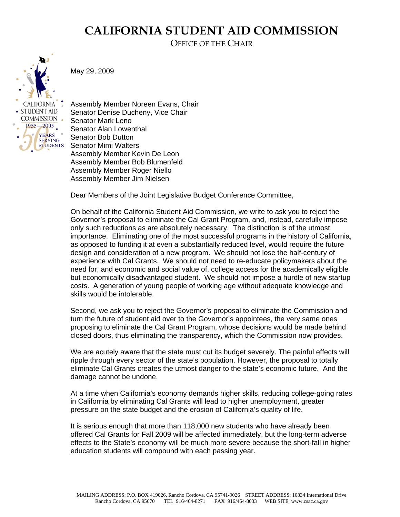## **CALIFORNIA STUDENT AID COMMISSION**

OFFICE OF THE CHAIR



May 29, 2009

Assembly Member Noreen Evans, Chair Senator Denise Ducheny, Vice Chair Senator Mark Leno Senator Alan Lowenthal Senator Bob Dutton Senator Mimi Walters Assembly Member Kevin De Leon Assembly Member Bob Blumenfeld Assembly Member Roger Niello Assembly Member Jim Nielsen

Dear Members of the Joint Legislative Budget Conference Committee,

On behalf of the California Student Aid Commission, we write to ask you to reject the Governor's proposal to eliminate the Cal Grant Program, and, instead, carefully impose only such reductions as are absolutely necessary. The distinction is of the utmost importance. Eliminating one of the most successful programs in the history of California, as opposed to funding it at even a substantially reduced level, would require the future design and consideration of a new program. We should not lose the half-century of experience with Cal Grants. We should not need to re-educate policymakers about the need for, and economic and social value of, college access for the academically eligible but economically disadvantaged student. We should not impose a hurdle of new startup costs. A generation of young people of working age without adequate knowledge and skills would be intolerable.

Second, we ask you to reject the Governor's proposal to eliminate the Commission and turn the future of student aid over to the Governor's appointees, the very same ones proposing to eliminate the Cal Grant Program, whose decisions would be made behind closed doors, thus eliminating the transparency, which the Commission now provides.

We are acutely aware that the state must cut its budget severely. The painful effects will ripple through every sector of the state's population. However, the proposal to totally eliminate Cal Grants creates the utmost danger to the state's economic future. And the damage cannot be undone.

At a time when California's economy demands higher skills, reducing college-going rates in California by eliminating Cal Grants will lead to higher unemployment, greater pressure on the state budget and the erosion of California's quality of life.

It is serious enough that more than 118,000 new students who have already been offered Cal Grants for Fall 2009 will be affected immediately, but the long-term adverse effects to the State's economy will be much more severe because the short-fall in higher education students will compound with each passing year.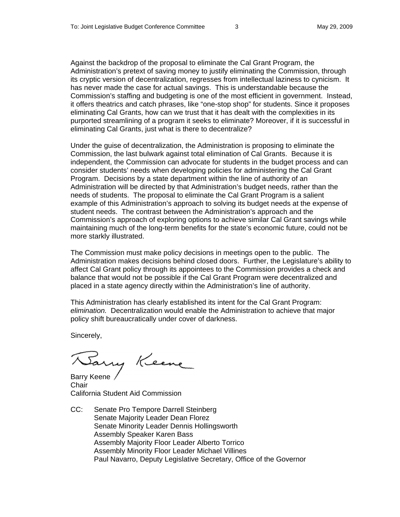Against the backdrop of the proposal to eliminate the Cal Grant Program, the Administration's pretext of saving money to justify eliminating the Commission, through its cryptic version of decentralization, regresses from intellectual laziness to cynicism. It has never made the case for actual savings. This is understandable because the Commission's staffing and budgeting is one of the most efficient in government. Instead, it offers theatrics and catch phrases, like "one-stop shop" for students. Since it proposes eliminating Cal Grants, how can we trust that it has dealt with the complexities in its purported streamlining of a program it seeks to eliminate? Moreover, if it is successful in eliminating Cal Grants, just what is there to decentralize?

Under the guise of decentralization, the Administration is proposing to eliminate the Commission, the last bulwark against total elimination of Cal Grants. Because it is independent, the Commission can advocate for students in the budget process and can consider students' needs when developing policies for administering the Cal Grant Program. Decisions by a state department within the line of authority of an Administration will be directed by that Administration's budget needs, rather than the needs of students. The proposal to eliminate the Cal Grant Program is a salient example of this Administration's approach to solving its budget needs at the expense of student needs. The contrast between the Administration's approach and the Commission's approach of exploring options to achieve similar Cal Grant savings while maintaining much of the long-term benefits for the state's economic future, could not be more starkly illustrated.

The Commission must make policy decisions in meetings open to the public. The Administration makes decisions behind closed doors. Further, the Legislature's ability to affect Cal Grant policy through its appointees to the Commission provides a check and balance that would not be possible if the Cal Grant Program were decentralized and placed in a state agency directly within the Administration's line of authority.

This Administration has clearly established its intent for the Cal Grant Program: *elimination.* Decentralization would enable the Administration to achieve that major policy shift bureaucratically under cover of darkness.

Sincerely,

Barry Keene

Chair California Student Aid Commission

CC: Senate Pro Tempore Darrell Steinberg Senate Majority Leader Dean Florez Senate Minority Leader Dennis Hollingsworth Assembly Speaker Karen Bass Assembly Majority Floor Leader Alberto Torrico Assembly Minority Floor Leader Michael Villines Paul Navarro, Deputy Legislative Secretary, Office of the Governor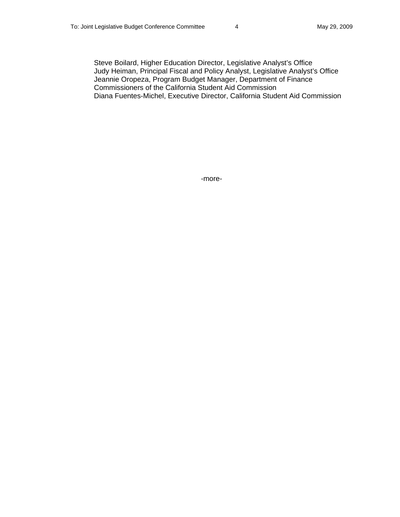Steve Boilard, Higher Education Director, Legislative Analyst's Office Judy Heiman, Principal Fiscal and Policy Analyst, Legislative Analyst's Office Jeannie Oropeza, Program Budget Manager, Department of Finance Commissioners of the California Student Aid Commission Diana Fuentes-Michel, Executive Director, California Student Aid Commission

-more-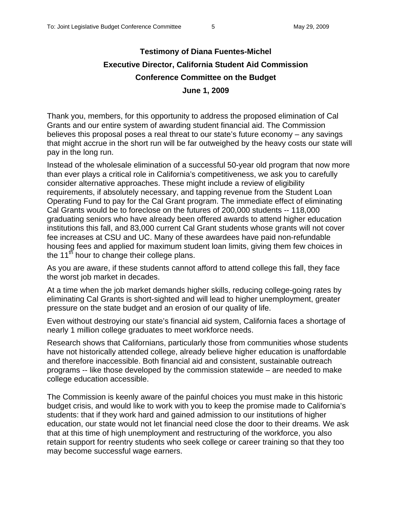## **Testimony of Diana Fuentes-Michel Executive Director, California Student Aid Commission Conference Committee on the Budget June 1, 2009**

Thank you, members, for this opportunity to address the proposed elimination of Cal Grants and our entire system of awarding student financial aid. The Commission believes this proposal poses a real threat to our state's future economy – any savings that might accrue in the short run will be far outweighed by the heavy costs our state will pay in the long run.

Instead of the wholesale elimination of a successful 50-year old program that now more than ever plays a critical role in California's competitiveness, we ask you to carefully consider alternative approaches. These might include a review of eligibility requirements, if absolutely necessary, and tapping revenue from the Student Loan Operating Fund to pay for the Cal Grant program. The immediate effect of eliminating Cal Grants would be to foreclose on the futures of 200,000 students -- 118,000 graduating seniors who have already been offered awards to attend higher education institutions this fall, and 83,000 current Cal Grant students whose grants will not cover fee increases at CSU and UC. Many of these awardees have paid non-refundable housing fees and applied for maximum student loan limits, giving them few choices in the  $11<sup>th</sup>$  hour to change their college plans.

As you are aware, if these students cannot afford to attend college this fall, they face the worst job market in decades.

At a time when the job market demands higher skills, reducing college-going rates by eliminating Cal Grants is short-sighted and will lead to higher unemployment, greater pressure on the state budget and an erosion of our quality of life.

Even without destroying our state's financial aid system, California faces a shortage of nearly 1 million college graduates to meet workforce needs.

Research shows that Californians, particularly those from communities whose students have not historically attended college, already believe higher education is unaffordable and therefore inaccessible. Both financial aid and consistent, sustainable outreach programs -- like those developed by the commission statewide – are needed to make college education accessible.

The Commission is keenly aware of the painful choices you must make in this historic budget crisis, and would like to work with you to keep the promise made to California's students: that if they work hard and gained admission to our institutions of higher education, our state would not let financial need close the door to their dreams. We ask that at this time of high unemployment and restructuring of the workforce, you also retain support for reentry students who seek college or career training so that they too may become successful wage earners.